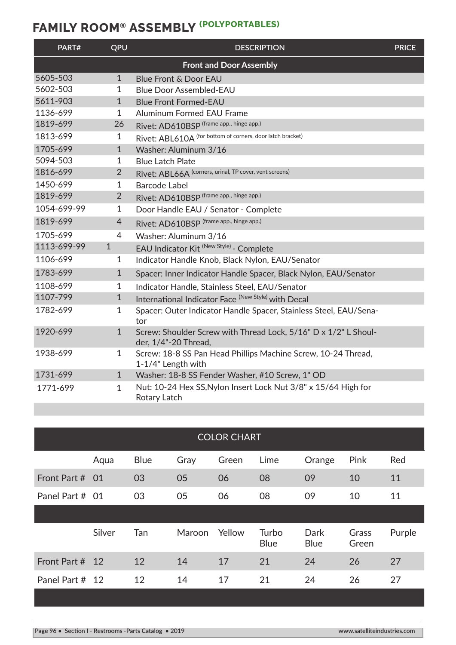## **FAMILY ROOM® ASSEMBLY (POLYPORTABLES)**

| PART#       | QPU            | <b>DESCRIPTION</b>                                                                      | <b>PRICE</b> |
|-------------|----------------|-----------------------------------------------------------------------------------------|--------------|
|             |                | <b>Front and Door Assembly</b>                                                          |              |
| 5605-503    | $\mathbf{1}$   | <b>Blue Front &amp; Door EAU</b>                                                        |              |
| 5602-503    | 1              | <b>Blue Door Assembled-EAU</b>                                                          |              |
| 5611-903    | $\mathbf{1}$   | <b>Blue Front Formed-EAU</b>                                                            |              |
| 1136-699    | $\mathbf{1}$   | <b>Aluminum Formed EAU Frame</b>                                                        |              |
| 1819-699    | 26             | Rivet: AD610BSP (frame app., hinge app.)                                                |              |
| 1813-699    | 1              | Rivet: ABL610A (for bottom of corners, door latch bracket)                              |              |
| 1705-699    | 1              | Washer: Aluminum 3/16                                                                   |              |
| 5094-503    | 1              | <b>Blue Latch Plate</b>                                                                 |              |
| 1816-699    | $\overline{2}$ | Rivet: ABL66A (corners, urinal, TP cover, vent screens)                                 |              |
| 1450-699    | 1              | <b>Barcode Label</b>                                                                    |              |
| 1819-699    | $\overline{2}$ | Rivet: AD610BSP (frame app., hinge app.)                                                |              |
| 1054-699-99 | 1              | Door Handle EAU / Senator - Complete                                                    |              |
| 1819-699    | $\overline{4}$ | Rivet: AD610BSP (frame app., hinge app.)                                                |              |
| 1705-699    | $\overline{4}$ | Washer: Aluminum 3/16                                                                   |              |
| 1113-699-99 | $\mathbf{1}$   | EAU Indicator Kit <sup> (New Style)</sup> - Complete                                    |              |
| 1106-699    | 1              | Indicator Handle Knob, Black Nylon, EAU/Senator                                         |              |
| 1783-699    | $\mathbf{1}$   | Spacer: Inner Indicator Handle Spacer, Black Nylon, EAU/Senator                         |              |
| 1108-699    | $\mathbf{1}$   | Indicator Handle, Stainless Steel, EAU/Senator                                          |              |
| 1107-799    | $\mathbf{1}$   | International Indicator Face (New Style) with Decal                                     |              |
| 1782-699    | 1              | Spacer: Outer Indicator Handle Spacer, Stainless Steel, EAU/Sena-<br>tor                |              |
| 1920-699    | $\mathbf{1}$   | Screw: Shoulder Screw with Thread Lock, 5/16" D x 1/2" L Shoul-<br>der, 1/4"-20 Thread, |              |
| 1938-699    | $\mathbf{1}$   | Screw: 18-8 SS Pan Head Phillips Machine Screw, 10-24 Thread,<br>1-1/4" Length with     |              |
| 1731-699    | $\mathbf{1}$   | Washer: 18-8 SS Fender Washer, #10 Screw, 1" OD                                         |              |
| 1771-699    | $\mathbf{1}$   | Nut: 10-24 Hex SS, Nylon Insert Lock Nut 3/8" x 15/64 High for<br>Rotary Latch          |              |

| <b>COLOR CHART</b> |             |        |        |                      |                     |                |        |
|--------------------|-------------|--------|--------|----------------------|---------------------|----------------|--------|
| Aqua               | <b>Blue</b> | Gray   | Green  | Lime                 | Orange              | Pink           | Red    |
| - 01               | 03          | 05     | 06     | 08                   | 09                  | 10             | 11     |
| Panel Part # 01    | 03          | 05     | 06     | 08                   | 09                  | 10             | 11     |
|                    |             |        |        |                      |                     |                |        |
| Silver             | Tan         | Maroon | Yellow | Turbo<br><b>Blue</b> | Dark<br><b>Blue</b> | Grass<br>Green | Purple |
| 12                 | 12          | 14     | 17     | 21                   | 24                  | 26             | 27     |
| Panel Part # 12    | 12          | 14     | 17     | 21                   | 24                  | 26             | 27     |
|                    |             |        |        |                      |                     |                |        |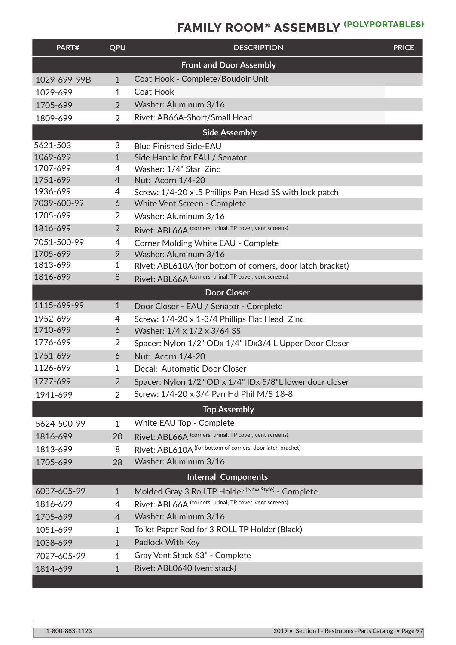## **FAMILY ROOM® ASSEMBLY (POLYPORTABLES)**

| PART#                          | QPU            | <b>DESCRIPTION</b>                                         | <b>PRICE</b> |  |  |  |
|--------------------------------|----------------|------------------------------------------------------------|--------------|--|--|--|
| <b>Front and Door Assembly</b> |                |                                                            |              |  |  |  |
| 1029-699-99B                   | $\mathbf{1}$   | Coat Hook - Complete/Boudoir Unit                          |              |  |  |  |
| 1029-699                       | $\mathbf{1}$   | Coat Hook                                                  |              |  |  |  |
| 1705-699                       | $\overline{2}$ | Washer: Aluminum 3/16                                      |              |  |  |  |
| 1809-699                       | $\overline{2}$ | Rivet: AB66A-Short/Small Head                              |              |  |  |  |
|                                |                | <b>Side Assembly</b>                                       |              |  |  |  |
| 5621-503                       | 3              | <b>Blue Finished Side-EAU</b>                              |              |  |  |  |
| 1069-699                       | $\mathbf{1}$   | Side Handle for EAU / Senator                              |              |  |  |  |
| 1707-699                       | 4              | Washer: 1/4" Star Zinc                                     |              |  |  |  |
| 1751-699                       | 4              | Nut: Acorn 1/4-20                                          |              |  |  |  |
| 1936-699                       | 4              | Screw: 1/4-20 x .5 Phillips Pan Head SS with lock patch    |              |  |  |  |
| 7039-600-99                    | 6              | <b>White Vent Screen - Complete</b>                        |              |  |  |  |
| 1705-699                       | $\overline{2}$ | Washer: Aluminum 3/16                                      |              |  |  |  |
| 1816-699                       | $\overline{2}$ | Rivet: ABL66A (corners, urinal, TP cover, vent screens)    |              |  |  |  |
| 7051-500-99                    | 4              | Corner Molding White EAU - Complete                        |              |  |  |  |
| 1705-699                       | 9              | Washer: Aluminum 3/16                                      |              |  |  |  |
| 1813-699                       | 1              | Rivet: ABL610A (for bottom of corners, door latch bracket) |              |  |  |  |
| 1816-699                       | 8              | Rivet: ABL66A (corners, urinal, TP cover, vent screens)    |              |  |  |  |
|                                |                | <b>Door Closer</b>                                         |              |  |  |  |
| 1115-699-99                    | $\mathbf{1}$   | Door Closer - EAU / Senator - Complete                     |              |  |  |  |
| 1952-699                       | 4              | Screw: 1/4-20 x 1-3/4 Phillips Flat Head Zinc              |              |  |  |  |
| 1710-699                       | 6              | Washer: 1/4 x 1/2 x 3/64 SS                                |              |  |  |  |
| 1776-699                       | 2              | Spacer: Nylon 1/2" ODx 1/4" IDx3/4 L Upper Door Closer     |              |  |  |  |
| 1751-699                       | 6              | Nut: Acorn 1/4-20                                          |              |  |  |  |
| 1126-699                       | 1              | Decal: Automatic Door Closer                               |              |  |  |  |
| 1777-699                       | $\overline{2}$ | Spacer: Nylon 1/2" OD x 1/4" IDx 5/8"L lower door closer   |              |  |  |  |
| 1941-699                       | $\overline{2}$ | Screw: 1/4-20 x 3/4 Pan Hd Phil M/S 18-8                   |              |  |  |  |
|                                |                | <b>Top Assembly</b>                                        |              |  |  |  |
| 5624-500-99                    | $\mathbf{1}$   | White EAU Top - Complete                                   |              |  |  |  |
| 1816-699                       | 20             | Rivet: ABL66A (corners, urinal, TP cover, vent screens)    |              |  |  |  |
| 1813-699                       | 8              | Rivet: ABL610A (for bottom of corners, door latch bracket) |              |  |  |  |
| 1705-699                       | 28             | Washer: Aluminum 3/16                                      |              |  |  |  |
|                                |                | <b>Internal Components</b>                                 |              |  |  |  |
| 6037-605-99                    | $\mathbf{1}$   | Molded Gray 3 Roll TP Holder (New Style) - Complete        |              |  |  |  |
| 1816-699                       | 4              | Rivet: ABL66A (corners, urinal, TP cover, vent screens)    |              |  |  |  |
| 1705-699                       | $\overline{4}$ | Washer: Aluminum 3/16                                      |              |  |  |  |
| 1051-699                       | $\mathbf{1}$   | Toilet Paper Rod for 3 ROLL TP Holder (Black)              |              |  |  |  |
| 1038-699                       | $\mathbf{1}$   | Padlock With Key                                           |              |  |  |  |
| 7027-605-99                    | $\mathbf{1}$   | Gray Vent Stack 63" - Complete                             |              |  |  |  |
| 1814-699                       | $\mathbf{1}$   | Rivet: ABL0640 (vent stack)                                |              |  |  |  |
|                                |                |                                                            |              |  |  |  |